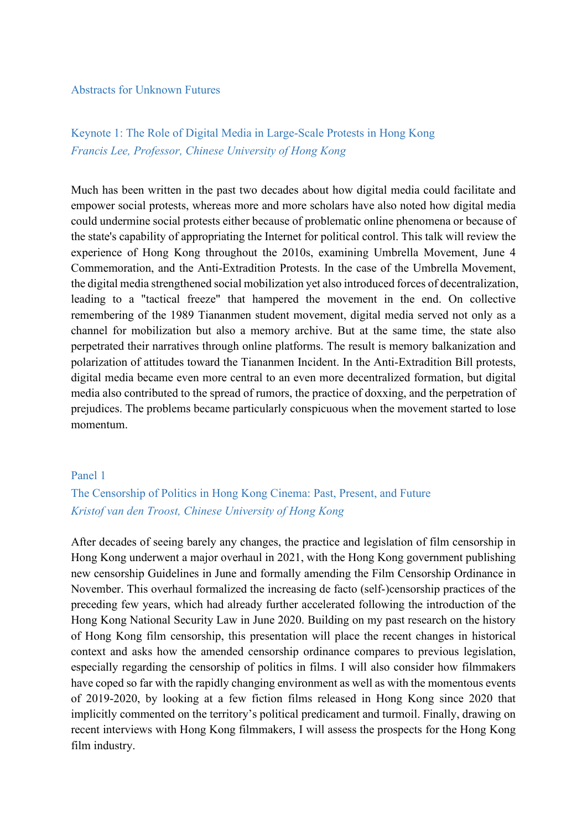#### Abstracts for Unknown Futures

# Keynote 1: The Role of Digital Media in Large-Scale Protests in Hong Kong *Francis Lee, Professor, Chinese University of Hong Kong*

Much has been written in the past two decades about how digital media could facilitate and empower social protests, whereas more and more scholars have also noted how digital media could undermine social protests either because of problematic online phenomena or because of the state's capability of appropriating the Internet for political control. This talk will review the experience of Hong Kong throughout the 2010s, examining Umbrella Movement, June 4 Commemoration, and the Anti-Extradition Protests. In the case of the Umbrella Movement, the digital media strengthened social mobilization yet also introduced forces of decentralization, leading to a "tactical freeze" that hampered the movement in the end. On collective remembering of the 1989 Tiananmen student movement, digital media served not only as a channel for mobilization but also a memory archive. But at the same time, the state also perpetrated their narratives through online platforms. The result is memory balkanization and polarization of attitudes toward the Tiananmen Incident. In the Anti-Extradition Bill protests, digital media became even more central to an even more decentralized formation, but digital media also contributed to the spread of rumors, the practice of doxxing, and the perpetration of prejudices. The problems became particularly conspicuous when the movement started to lose momentum.

#### Panel 1

## The Censorship of Politics in Hong Kong Cinema: Past, Present, and Future *Kristof van den Troost, Chinese University of Hong Kong*

After decades of seeing barely any changes, the practice and legislation of film censorship in Hong Kong underwent a major overhaul in 2021, with the Hong Kong government publishing new censorship Guidelines in June and formally amending the Film Censorship Ordinance in November. This overhaul formalized the increasing de facto (self-)censorship practices of the preceding few years, which had already further accelerated following the introduction of the Hong Kong National Security Law in June 2020. Building on my past research on the history of Hong Kong film censorship, this presentation will place the recent changes in historical context and asks how the amended censorship ordinance compares to previous legislation, especially regarding the censorship of politics in films. I will also consider how filmmakers have coped so far with the rapidly changing environment as well as with the momentous events of 2019-2020, by looking at a few fiction films released in Hong Kong since 2020 that implicitly commented on the territory's political predicament and turmoil. Finally, drawing on recent interviews with Hong Kong filmmakers, I will assess the prospects for the Hong Kong film industry.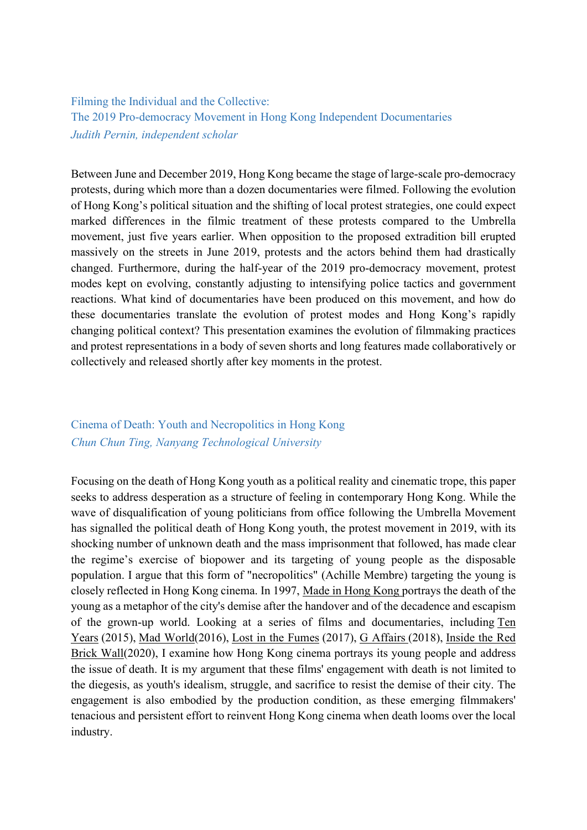Filming the Individual and the Collective: The 2019 Pro-democracy Movement in Hong Kong Independent Documentaries *Judith Pernin, independent scholar* 

Between June and December 2019, Hong Kong became the stage of large-scale pro-democracy protests, during which more than a dozen documentaries were filmed. Following the evolution of Hong Kong's political situation and the shifting of local protest strategies, one could expect marked differences in the filmic treatment of these protests compared to the Umbrella movement, just five years earlier. When opposition to the proposed extradition bill erupted massively on the streets in June 2019, protests and the actors behind them had drastically changed. Furthermore, during the half-year of the 2019 pro-democracy movement, protest modes kept on evolving, constantly adjusting to intensifying police tactics and government reactions. What kind of documentaries have been produced on this movement, and how do these documentaries translate the evolution of protest modes and Hong Kong's rapidly changing political context? This presentation examines the evolution of filmmaking practices and protest representations in a body of seven shorts and long features made collaboratively or collectively and released shortly after key moments in the protest.

### Cinema of Death: Youth and Necropolitics in Hong Kong *Chun Chun Ting, Nanyang Technological University*

Focusing on the death of Hong Kong youth as a political reality and cinematic trope, this paper seeks to address desperation as a structure of feeling in contemporary Hong Kong. While the wave of disqualification of young politicians from office following the Umbrella Movement has signalled the political death of Hong Kong youth, the protest movement in 2019, with its shocking number of unknown death and the mass imprisonment that followed, has made clear the regime's exercise of biopower and its targeting of young people as the disposable population. I argue that this form of "necropolitics" (Achille Membre) targeting the young is closely reflected in Hong Kong cinema. In 1997, Made in Hong Kong portrays the death of the young as a metaphor of the city's demise after the handover and of the decadence and escapism of the grown-up world. Looking at a series of films and documentaries, including Ten Years (2015), Mad World(2016), Lost in the Fumes (2017), G Affairs (2018), Inside the Red Brick Wall(2020), I examine how Hong Kong cinema portrays its young people and address the issue of death. It is my argument that these films' engagement with death is not limited to the diegesis, as youth's idealism, struggle, and sacrifice to resist the demise of their city. The engagement is also embodied by the production condition, as these emerging filmmakers' tenacious and persistent effort to reinvent Hong Kong cinema when death looms over the local industry.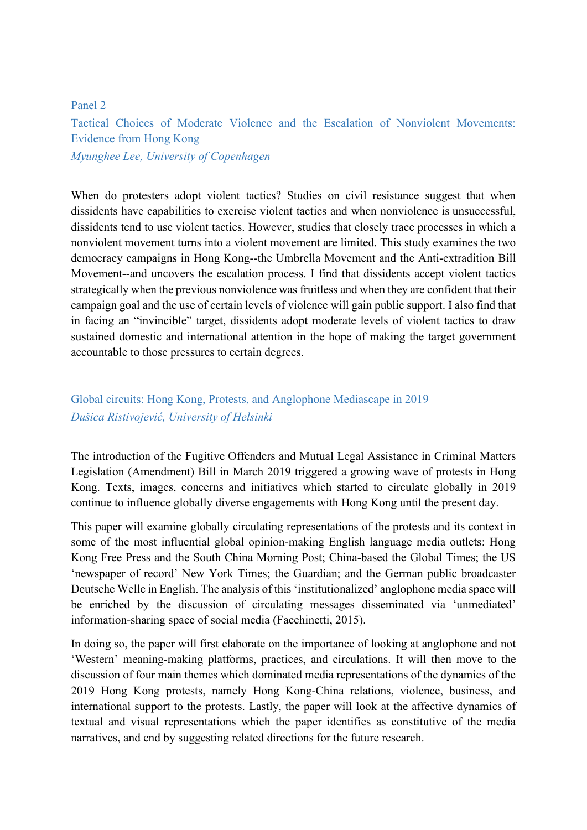#### Panel 2

Tactical Choices of Moderate Violence and the Escalation of Nonviolent Movements: Evidence from Hong Kong

*Myunghee Lee, University of Copenhagen*

When do protesters adopt violent tactics? Studies on civil resistance suggest that when dissidents have capabilities to exercise violent tactics and when nonviolence is unsuccessful, dissidents tend to use violent tactics. However, studies that closely trace processes in which a nonviolent movement turns into a violent movement are limited. This study examines the two democracy campaigns in Hong Kong--the Umbrella Movement and the Anti-extradition Bill Movement--and uncovers the escalation process. I find that dissidents accept violent tactics strategically when the previous nonviolence was fruitless and when they are confident that their campaign goal and the use of certain levels of violence will gain public support. I also find that in facing an "invincible" target, dissidents adopt moderate levels of violent tactics to draw sustained domestic and international attention in the hope of making the target government accountable to those pressures to certain degrees.

### Global circuits: Hong Kong, Protests, and Anglophone Mediascape in 2019 *Dušica Ristivojević, University of Helsinki*

The introduction of the Fugitive Offenders and Mutual Legal Assistance in Criminal Matters Legislation (Amendment) Bill in March 2019 triggered a growing wave of protests in Hong Kong. Texts, images, concerns and initiatives which started to circulate globally in 2019 continue to influence globally diverse engagements with Hong Kong until the present day.

This paper will examine globally circulating representations of the protests and its context in some of the most influential global opinion-making English language media outlets: Hong Kong Free Press and the South China Morning Post; China-based the Global Times; the US 'newspaper of record' New York Times; the Guardian; and the German public broadcaster Deutsche Welle in English. The analysis of this 'institutionalized' anglophone media space will be enriched by the discussion of circulating messages disseminated via 'unmediated' information-sharing space of social media (Facchinetti, 2015).

In doing so, the paper will first elaborate on the importance of looking at anglophone and not 'Western' meaning-making platforms, practices, and circulations. It will then move to the discussion of four main themes which dominated media representations of the dynamics of the 2019 Hong Kong protests, namely Hong Kong-China relations, violence, business, and international support to the protests. Lastly, the paper will look at the affective dynamics of textual and visual representations which the paper identifies as constitutive of the media narratives, and end by suggesting related directions for the future research.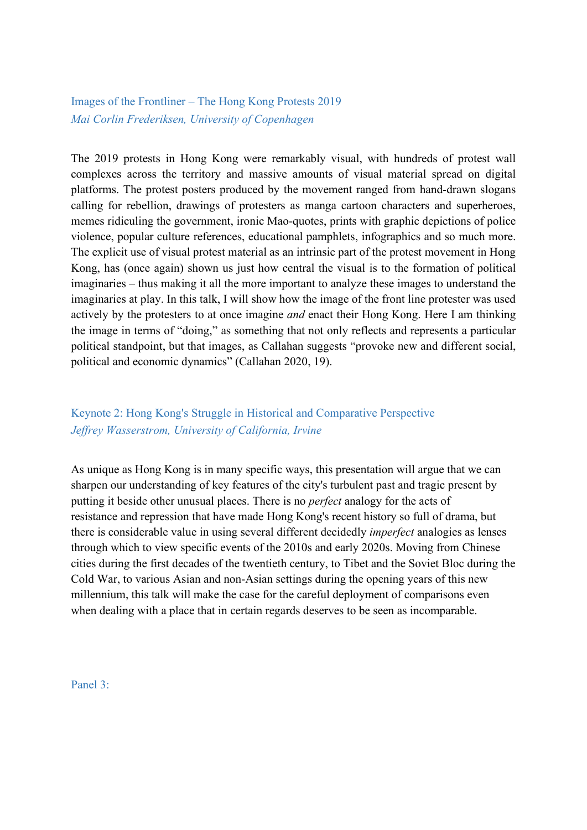Images of the Frontliner – The Hong Kong Protests 2019 *Mai Corlin Frederiksen, University of Copenhagen*

The 2019 protests in Hong Kong were remarkably visual, with hundreds of protest wall complexes across the territory and massive amounts of visual material spread on digital platforms. The protest posters produced by the movement ranged from hand-drawn slogans calling for rebellion, drawings of protesters as manga cartoon characters and superheroes, memes ridiculing the government, ironic Mao-quotes, prints with graphic depictions of police violence, popular culture references, educational pamphlets, infographics and so much more. The explicit use of visual protest material as an intrinsic part of the protest movement in Hong Kong, has (once again) shown us just how central the visual is to the formation of political imaginaries – thus making it all the more important to analyze these images to understand the imaginaries at play. In this talk, I will show how the image of the front line protester was used actively by the protesters to at once imagine *and* enact their Hong Kong. Here I am thinking the image in terms of "doing," as something that not only reflects and represents a particular political standpoint, but that images, as Callahan suggests "provoke new and different social, political and economic dynamics" (Callahan 2020, 19).

# Keynote 2: Hong Kong's Struggle in Historical and Comparative Perspective *Jeffrey Wasserstrom, University of California, Irvine*

As unique as Hong Kong is in many specific ways, this presentation will argue that we can sharpen our understanding of key features of the city's turbulent past and tragic present by putting it beside other unusual places. There is no *perfect* analogy for the acts of resistance and repression that have made Hong Kong's recent history so full of drama, but there is considerable value in using several different decidedly *imperfect* analogies as lenses through which to view specific events of the 2010s and early 2020s. Moving from Chinese cities during the first decades of the twentieth century, to Tibet and the Soviet Bloc during the Cold War, to various Asian and non-Asian settings during the opening years of this new millennium, this talk will make the case for the careful deployment of comparisons even when dealing with a place that in certain regards deserves to be seen as incomparable.

Panel 3: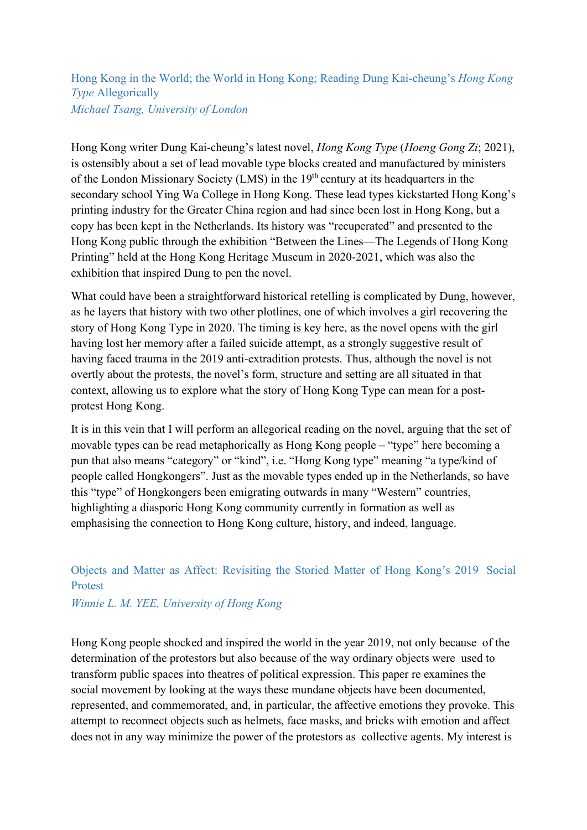### Hong Kong in the World; the World in Hong Kong; Reading Dung Kai-cheung's *Hong Kong Type* Allegorically *Michael Tsang, University of London*

Hong Kong writer Dung Kai-cheung's latest novel, *Hong Kong Type* (*Hoeng Gong Zi*; 2021), is ostensibly about a set of lead movable type blocks created and manufactured by ministers of the London Missionary Society (LMS) in the 19<sup>th</sup> century at its headquarters in the secondary school Ying Wa College in Hong Kong. These lead types kickstarted Hong Kong's printing industry for the Greater China region and had since been lost in Hong Kong, but a copy has been kept in the Netherlands. Its history was "recuperated" and presented to the Hong Kong public through the exhibition "Between the Lines—The Legends of Hong Kong Printing" held at the Hong Kong Heritage Museum in 2020-2021, which was also the exhibition that inspired Dung to pen the novel.

What could have been a straightforward historical retelling is complicated by Dung, however, as he layers that history with two other plotlines, one of which involves a girl recovering the story of Hong Kong Type in 2020. The timing is key here, as the novel opens with the girl having lost her memory after a failed suicide attempt, as a strongly suggestive result of having faced trauma in the 2019 anti-extradition protests. Thus, although the novel is not overtly about the protests, the novel's form, structure and setting are all situated in that context, allowing us to explore what the story of Hong Kong Type can mean for a postprotest Hong Kong.

It is in this vein that I will perform an allegorical reading on the novel, arguing that the set of movable types can be read metaphorically as Hong Kong people – "type" here becoming a pun that also means "category" or "kind", i.e. "Hong Kong type" meaning "a type/kind of people called Hongkongers". Just as the movable types ended up in the Netherlands, so have this "type" of Hongkongers been emigrating outwards in many "Western" countries, highlighting a diasporic Hong Kong community currently in formation as well as emphasising the connection to Hong Kong culture, history, and indeed, language.

# Objects and Matter as Affect: Revisiting the Storied Matter of Hong Kong's 2019 Social Protest

*Winnie L. M. YEE, University of Hong Kong*

Hong Kong people shocked and inspired the world in the year 2019, not only because of the determination of the protestors but also because of the way ordinary objects were used to transform public spaces into theatres of political expression. This paper re examines the social movement by looking at the ways these mundane objects have been documented, represented, and commemorated, and, in particular, the affective emotions they provoke. This attempt to reconnect objects such as helmets, face masks, and bricks with emotion and affect does not in any way minimize the power of the protestors as collective agents. My interest is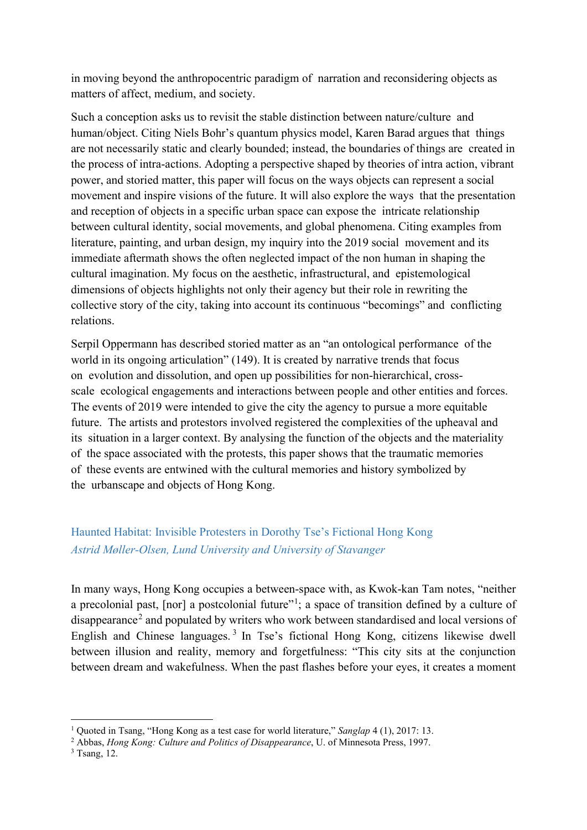in moving beyond the anthropocentric paradigm of narration and reconsidering objects as matters of affect, medium, and society.

Such a conception asks us to revisit the stable distinction between nature/culture and human/object. Citing Niels Bohr's quantum physics model, Karen Barad argues that things are not necessarily static and clearly bounded; instead, the boundaries of things are created in the process of intra-actions. Adopting a perspective shaped by theories of intra action, vibrant power, and storied matter, this paper will focus on the ways objects can represent a social movement and inspire visions of the future. It will also explore the ways that the presentation and reception of objects in a specific urban space can expose the intricate relationship between cultural identity, social movements, and global phenomena. Citing examples from literature, painting, and urban design, my inquiry into the 2019 social movement and its immediate aftermath shows the often neglected impact of the non human in shaping the cultural imagination. My focus on the aesthetic, infrastructural, and epistemological dimensions of objects highlights not only their agency but their role in rewriting the collective story of the city, taking into account its continuous "becomings" and conflicting relations.

Serpil Oppermann has described storied matter as an "an ontological performance of the world in its ongoing articulation" (149). It is created by narrative trends that focus on evolution and dissolution, and open up possibilities for non-hierarchical, crossscale ecological engagements and interactions between people and other entities and forces. The events of 2019 were intended to give the city the agency to pursue a more equitable future. The artists and protestors involved registered the complexities of the upheaval and its situation in a larger context. By analysing the function of the objects and the materiality of the space associated with the protests, this paper shows that the traumatic memories of these events are entwined with the cultural memories and history symbolized by the urbanscape and objects of Hong Kong.

# Haunted Habitat: Invisible Protesters in Dorothy Tse's Fictional Hong Kong *Astrid Møller-Olsen, Lund University and University of Stavanger*

In many ways, Hong Kong occupies a between-space with, as Kwok-kan Tam notes, "neither a precolonial past, [nor] a postcolonial future"<sup>[1](#page-5-0)</sup>; a space of transition defined by a culture of disappearance<sup>[2](#page-5-1)</sup> and populated by writers who work between standardised and local versions of English and Chinese languages.<sup>[3](#page-5-2)</sup> In Tse's fictional Hong Kong, citizens likewise dwell between illusion and reality, memory and forgetfulness: "This city sits at the conjunction between dream and wakefulness. When the past flashes before your eyes, it creates a moment

<span id="page-5-0"></span><sup>1</sup> Quoted in Tsang, "Hong Kong as a test case for world literature," *Sanglap* 4 (1), 2017: 13.

<span id="page-5-1"></span><sup>2</sup> Abbas, *Hong Kong: Culture and Politics of Disappearance*, U. of Minnesota Press, 1997.

<span id="page-5-2"></span><sup>3</sup> Tsang, 12.